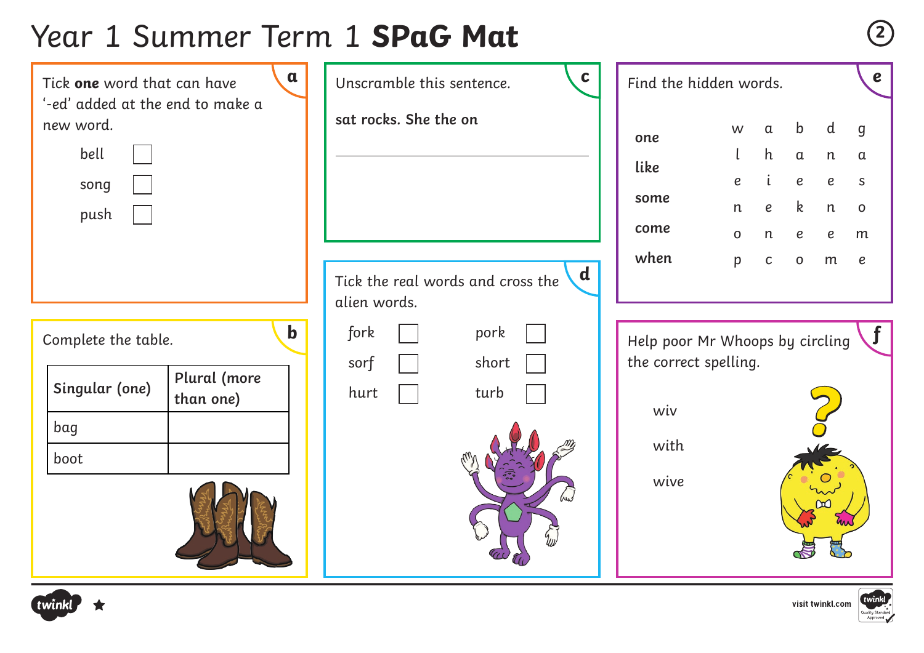# Year 1 Summer Term 1 **SPaG Mat <sup>2</sup>**

| $\mathbf{a}$<br>Tick one word that can have<br>'-ed' added at the end to make a                  |  | $\mathbf c$<br>Unscramble this sentence.                                                  | Find the hidden words.                                                          |                                 |                                                                         |                                                                                      |                                                              |                                                                                  |
|--------------------------------------------------------------------------------------------------|--|-------------------------------------------------------------------------------------------|---------------------------------------------------------------------------------|---------------------------------|-------------------------------------------------------------------------|--------------------------------------------------------------------------------------|--------------------------------------------------------------|----------------------------------------------------------------------------------|
| new word.<br>bell<br>song<br>push                                                                |  | sat rocks. She the on<br>$\mathbf d$<br>Tick the real words and cross the<br>alien words. | one<br>like<br>some<br>come<br>when                                             | W<br>e<br>n<br>$\mathbf O$<br>p | $\alpha$<br>h<br>$\mathfrak{i}$<br>$\boldsymbol{e}$<br>n<br>$\mathsf C$ | $\mathbf b$<br>$\mathfrak a$<br>$\pmb{e}$<br>$\mathsf k$<br>$\pmb{e}$<br>$\mathsf O$ | d<br>$\mathsf{n}$<br>$\pmb{e}$<br>n<br>$\boldsymbol{e}$<br>m | $\mathbf{g}$<br>$\alpha$<br>$\mathsf{S}$<br>$\mathbf 0$<br>m<br>$\boldsymbol{e}$ |
| $\mathbf b$<br>Complete the table.<br>Plural (more<br>Singular (one)<br>than one)<br>bag<br>boot |  | fork<br>pork<br>sorf<br>short<br>hurt<br>turb<br>بملا                                     | Help poor Mr Whoops by circling<br>the correct spelling.<br>wiv<br>with<br>wive |                                 |                                                                         |                                                                                      |                                                              | J                                                                                |



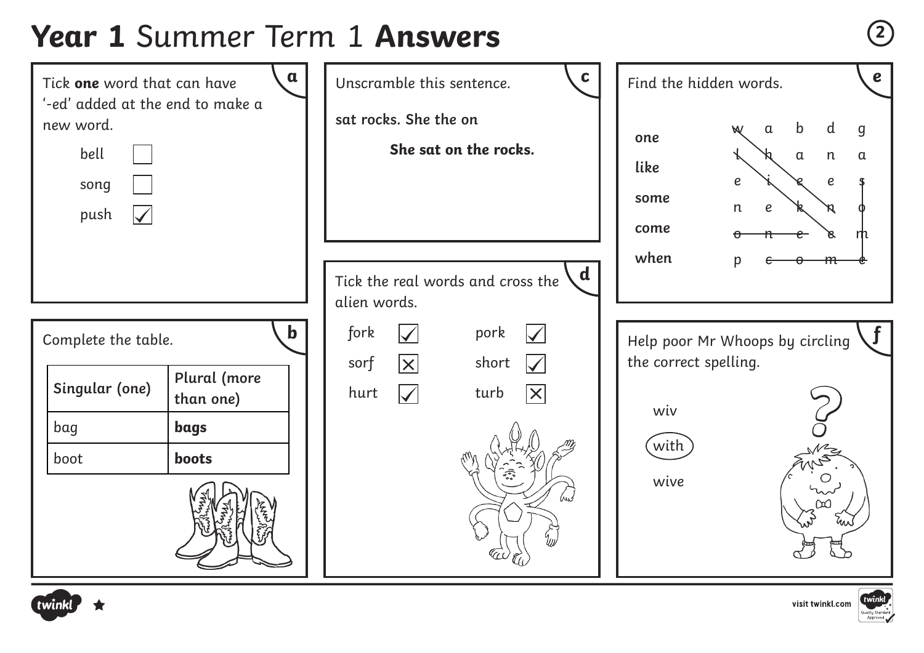# **Year 1** Summer Term 1 **Answers <sup>2</sup>**





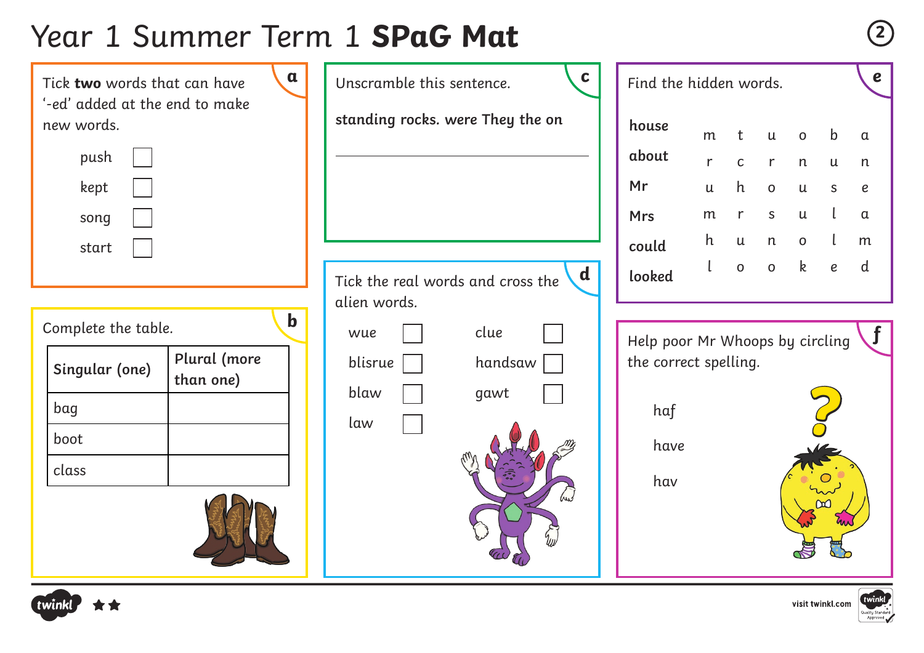# Year 1 Summer Term 1 **SPaG Mat <sup>2</sup>**

| $\mathfrak a$<br>Tick two words that can have |                           | $\mathbf c$<br>Find the hidden words.<br>Unscramble this sentence. |                                                  |                                 |                 |                           |              |                           | $\boldsymbol{e}$ |                  |
|-----------------------------------------------|---------------------------|--------------------------------------------------------------------|--------------------------------------------------|---------------------------------|-----------------|---------------------------|--------------|---------------------------|------------------|------------------|
| '-ed' added at the end to make<br>new words.  |                           |                                                                    | standing rocks. were They the on                 | house                           | m               | t                         | $\mathsf{u}$ | $\mathsf{o}$              | b                | $\alpha$         |
| push                                          |                           |                                                                    |                                                  | about                           | $r_{\parallel}$ | $\mathsf{C}$              | r            | n                         | $\mathsf{u}$     | n                |
| kept                                          |                           |                                                                    |                                                  | Mr                              | $\mathsf{u}$    | h                         | $\mathbf O$  | $\mathsf{u}$              | $\mathsf{S}$     | $\boldsymbol{e}$ |
| song                                          |                           |                                                                    |                                                  | <b>Mrs</b>                      | m               | $r_{\rm}$                 | $\mathsf S$  | $\ensuremath{\mathsf{u}}$ |                  | $\alpha$         |
| start                                         |                           |                                                                    |                                                  | could                           | h               | $\ensuremath{\mathsf{u}}$ | n            | $\mathsf O$               |                  | m                |
|                                               |                           |                                                                    | $\mathbf d$<br>Tick the real words and cross the | looked                          |                 | $\mathsf O$               | $\mathsf O$  | $\mathsf{k}$              | $\boldsymbol{e}$ | d                |
|                                               | $\mathbf b$               | alien words.                                                       |                                                  |                                 |                 |                           |              |                           |                  |                  |
| Complete the table.                           |                           | wue                                                                | clue                                             | Help poor Mr Whoops by circling |                 |                           |              |                           |                  |                  |
| Singular (one)                                | Plural (more<br>than one) | blisrue                                                            | handsaw                                          | the correct spelling.           |                 |                           |              |                           |                  |                  |
| bag                                           |                           | blaw                                                               | gawt                                             | haf                             |                 |                           |              |                           |                  |                  |
| boot                                          |                           | law                                                                |                                                  | have                            |                 |                           |              |                           |                  |                  |
| class                                         |                           |                                                                    |                                                  |                                 |                 |                           |              |                           |                  |                  |
|                                               |                           |                                                                    | بملا                                             | hav                             |                 |                           |              |                           |                  |                  |





visit twinkl.com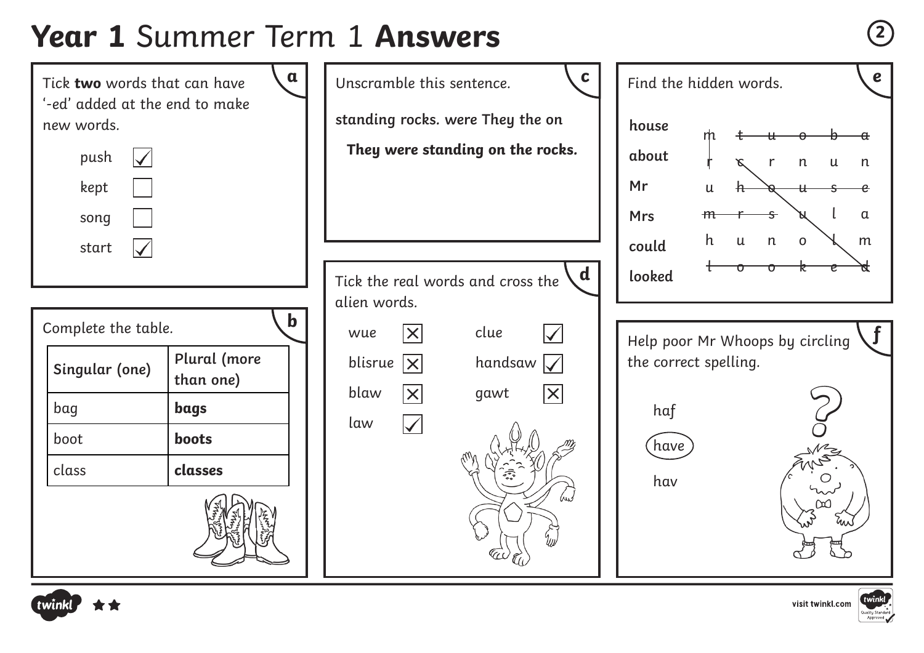# **Year 1** Summer Term 1 **Answers <sup>2</sup>**





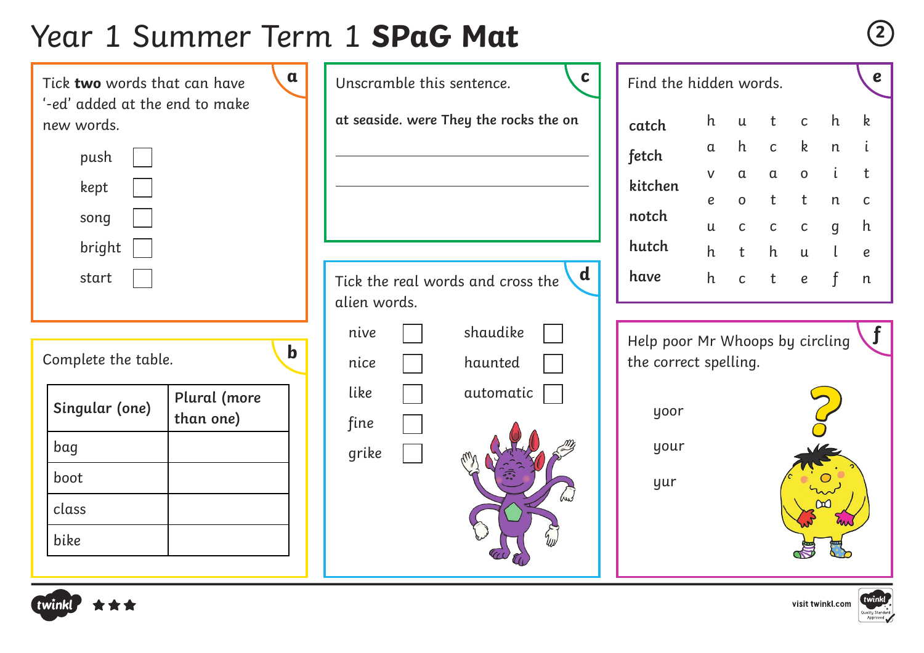# Year 1 Summer Term 1 **SPaG Mat <sup>2</sup>**

**a** Unscramble this sentence.  $\begin{matrix} \mathbf{c} \end{matrix}$  Find the hidden words.  $\mathbf{e}$ **at seaside. were They the rocks the on** Complete the table. Tick **two** words that can have '-ed' added at the end to make new words. Tick the real words and cross the alien words. Find the hidden words. Help poor Mr Whoops by circling the correct spelling. **d b** push kept song bright start **catch fetch kitchen notch hutch have** yoor **?** your yur nive nice like fine grike shaudike haunted automatic **Singular (one) Plural (more than one)** bag boot class bike h u t c h k a h c k n i v a a o i t e o t t n c u c c c g h h t h u l e h c t e f n





**f**